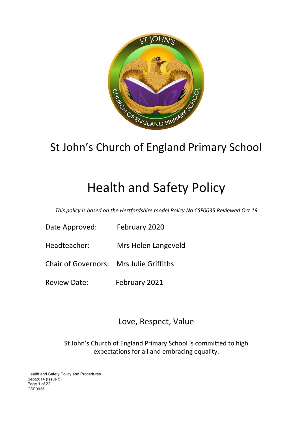

# St John's Church of England Primary School

# Health and Safety Policy

*This policy is based on the Hertfordshire model Policy No CSF0035 Reviewed Oct 19*

- Date Approved: February 2020
- Headteacher: Mrs Helen Langeveld
- Chair of Governors: Mrs Julie Griffiths
- Review Date: February 2021

# Love, Respect, Value

St John's Church of England Primary School is committed to high expectations for all and embracing equality.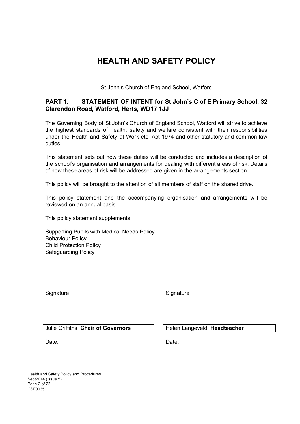# **HEALTH AND SAFETY POLICY**

St John's Church of England School, Watford

## **PART 1. STATEMENT OF INTENT for St John's C of E Primary School, 32 Clarendon Road, Watford, Herts, WD17 1JJ**

The Governing Body of St John's Church of England School, Watford will strive to achieve the highest standards of health, safety and welfare consistent with their responsibilities under the Health and Safety at Work etc. Act 1974 and other statutory and common law duties.

This statement sets out how these duties will be conducted and includes a description of the school's organisation and arrangements for dealing with different areas of risk. Details of how these areas of risk will be addressed are given in the arrangements section.

This policy will be brought to the attention of all members of staff on the shared drive.

This policy statement and the accompanying organisation and arrangements will be reviewed on an annual basis.

This policy statement supplements:

Supporting Pupils with Medical Needs Policy Behaviour Policy Child Protection Policy Safeguarding Policy

Signature Signature Signature Signature

#### Julie Griffiths **Chair of Governors Helen Langeveld Headteacher**

Date: **Date:** Date: **Date: Date: Date: Date:** 

Health and Safety Policy and Procedures Sept2014 (Issue 5) Page 2 of 22 CSF0035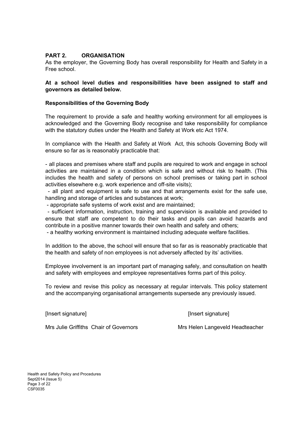#### **PART 2. ORGANISATION**

As the employer, the Governing Body has overall responsibility for Health and Safety in a Free school.

#### **At a school level duties and responsibilities have been assigned to staff and governors as detailed below.**

#### **Responsibilities of the Governing Body**

The requirement to provide a safe and healthy working environment for all employees is acknowledged and the Governing Body recognise and take responsibility for compliance with the statutory duties under the Health and Safety at Work etc Act 1974.

In compliance with the Health and Safety at Work Act, this schools Governing Body will ensure so far as is reasonably practicable that:

- all places and premises where staff and pupils are required to work and engage in school activities are maintained in a condition which is safe and without risk to health. (This includes the health and safety of persons on school premises or taking part in school activities elsewhere e.g. work experience and off-site visits);

- all plant and equipment is safe to use and that arrangements exist for the safe use, handling and storage of articles and substances at work;

- appropriate safe systems of work exist and are maintained;

- sufficient information, instruction, training and supervision is available and provided to ensure that staff are competent to do their tasks and pupils can avoid hazards and contribute in a positive manner towards their own health and safety and others;

- a healthy working environment is maintained including adequate welfare facilities.

In addition to the above, the school will ensure that so far as is reasonably practicable that the health and safety of non employees is not adversely affected by its' activities.

Employee involvement is an important part of managing safely, and consultation on health and safety with employees and employee representatives forms part of this policy.

To review and revise this policy as necessary at regular intervals. This policy statement and the accompanying organisational arrangements supersede any previously issued.

[Insert signature] [Insert signature]

Mrs Julie Griffiths Chair of Governors Mrs Helen Langeveld Headteacher

Health and Safety Policy and Procedures Sept2014 (Issue 5) Page 3 of 22 CSF0035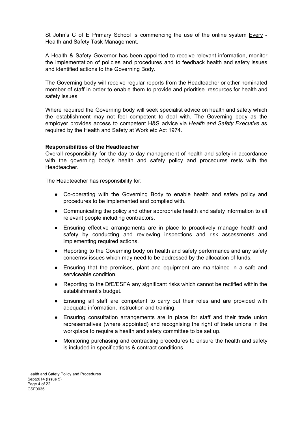St John's C of E Primary School is commencing the use of the online system Every - Health and Safety Task Management.

A Health & Safety Governor has been appointed to receive relevant information, monitor the implementation of policies and procedures and to feedback health and safety issues and identified actions to the Governing Body.

The Governing body will receive regular reports from the Headteacher or other nominated member of staff in order to enable them to provide and prioritise resources for health and safety issues.

Where required the Governing body will seek specialist advice on health and safety which the establishment may not feel competent to deal with. The Governing body as the employer provides access to competent H&S advice via *Health and Safety Executive* as required by the Health and Safety at Work etc Act 1974.

#### **Responsibilities of the Headteacher**

Overall responsibility for the day to day management of health and safety in accordance with the governing body's health and safety policy and procedures rests with the **Headteacher** 

The Headteacher has responsibility for:

- Co-operating with the Governing Body to enable health and safety policy and procedures to be implemented and complied with.
- Communicating the policy and other appropriate health and safety information to all relevant people including contractors.
- Ensuring effective arrangements are in place to proactively manage health and safety by conducting and reviewing inspections and risk assessments and implementing required actions.
- Reporting to the Governing body on health and safety performance and any safety concerns/ issues which may need to be addressed by the allocation of funds.
- Ensuring that the premises, plant and equipment are maintained in a safe and serviceable condition.
- Reporting to the DfE/ESFA any significant risks which cannot be rectified within the establishment's budget.
- Ensuring all staff are competent to carry out their roles and are provided with adequate information, instruction and training.
- Ensuring consultation arrangements are in place for staff and their trade union representatives (where appointed) and recognising the right of trade unions in the workplace to require a health and safety committee to be set up.
- Monitoring purchasing and contracting procedures to ensure the health and safety is included in specifications & contract conditions.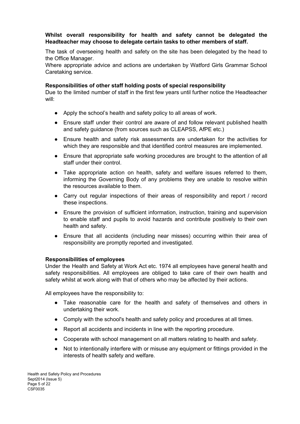#### **Whilst overall responsibility for health and safety cannot be delegated the Headteacher may choose to delegate certain tasks to other members of staff.**

The task of overseeing health and safety on the site has been delegated by the head to the Office Manager.

Where appropriate advice and actions are undertaken by Watford Girls Grammar School Caretaking service.

#### **Responsibilities of other staff holding posts of special responsibility**

Due to the limited number of staff in the first few years until further notice the Headteacher will:

- Apply the school's health and safety policy to all areas of work.
- Ensure staff under their control are aware of and follow relevant published health and safety guidance (from sources such as CLEAPSS, AfPE etc.)
- Ensure health and safety risk assessments are undertaken for the activities for which they are responsible and that identified control measures are implemented.
- Ensure that appropriate safe working procedures are brought to the attention of all staff under their control.
- Take appropriate action on health, safety and welfare issues referred to them, informing the Governing Body of any problems they are unable to resolve within the resources available to them.
- Carry out regular inspections of their areas of responsibility and report / record these inspections.
- Ensure the provision of sufficient information, instruction, training and supervision to enable staff and pupils to avoid hazards and contribute positively to their own health and safety.
- Ensure that all accidents (including near misses) occurring within their area of responsibility are promptly reported and investigated.

#### **Responsibilities of employees**

Under the Health and Safety at Work Act etc. 1974 all employees have general health and safety responsibilities. All employees are obliged to take care of their own health and safety whilst at work along with that of others who may be affected by their actions.

All employees have the responsibility to:

- Take reasonable care for the health and safety of themselves and others in undertaking their work.
- Comply with the school's health and safety policy and procedures at all times.
- Report all accidents and incidents in line with the reporting procedure.
- Cooperate with school management on all matters relating to health and safety.
- Not to intentionally interfere with or misuse any equipment or fittings provided in the interests of health safety and welfare.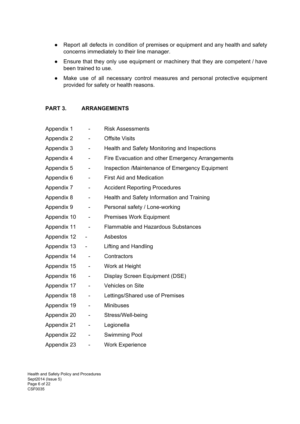- Report all defects in condition of premises or equipment and any health and safety concerns immediately to their line manager.
- Ensure that they only use equipment or machinery that they are competent / have been trained to use.
- Make use of all necessary control measures and personal protective equipment provided for safety or health reasons.

#### **PART 3. ARRANGEMENTS**

| Appendix 1  |                              | <b>Risk Assessments</b>                          |
|-------------|------------------------------|--------------------------------------------------|
| Appendix 2  | $\qquad \qquad \blacksquare$ | <b>Offsite Visits</b>                            |
| Appendix 3  | $\blacksquare$               | Health and Safety Monitoring and Inspections     |
| Appendix 4  | $\qquad \qquad \blacksquare$ | Fire Evacuation and other Emergency Arrangements |
| Appendix 5  | $\overline{\phantom{0}}$     | Inspection /Maintenance of Emergency Equipment   |
| Appendix 6  | $\blacksquare$               | <b>First Aid and Medication</b>                  |
| Appendix 7  | $\qquad \qquad \blacksquare$ | <b>Accident Reporting Procedures</b>             |
| Appendix 8  | ۰                            | Health and Safety Information and Training       |
| Appendix 9  | ۰                            | Personal safety / Lone-working                   |
| Appendix 10 | $\overline{\phantom{a}}$     | <b>Premises Work Equipment</b>                   |
| Appendix 11 | $\blacksquare$               | <b>Flammable and Hazardous Substances</b>        |
| Appendix 12 | ۰                            | Asbestos                                         |
| Appendix 13 | $\overline{\phantom{a}}$     | Lifting and Handling                             |
| Appendix 14 | $\overline{\phantom{a}}$     | Contractors                                      |
| Appendix 15 | $\overline{\phantom{a}}$     | Work at Height                                   |
| Appendix 16 | $\blacksquare$               | Display Screen Equipment (DSE)                   |
| Appendix 17 | $\overline{\phantom{a}}$     | <b>Vehicles on Site</b>                          |
| Appendix 18 | ۰                            | Lettings/Shared use of Premises                  |
| Appendix 19 | $\overline{\phantom{a}}$     | <b>Minibuses</b>                                 |
| Appendix 20 | -                            | Stress/Well-being                                |
| Appendix 21 | ۰                            | Legionella                                       |
| Appendix 22 | $\overline{\phantom{0}}$     | <b>Swimming Pool</b>                             |
| Appendix 23 | -                            | <b>Work Experience</b>                           |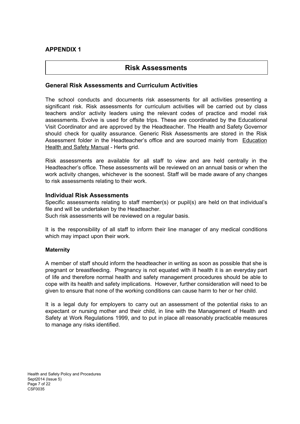## **APPENDIX 1**

## **Risk Assessments**

#### **General Risk Assessments and Curriculum Activities**

The school conducts and documents risk assessments for all activities presenting a significant risk. Risk assessments for curriculum activities will be carried out by class teachers and/or activity leaders using the relevant codes of practice and model risk assessments. Evolve is used for offsite trips. These are coordinated by the Educational Visit Coordinator and are approved by the Headteacher. The Health and Safety Governor should check for quality assurance. Generic Risk Assessments are stored in the Risk Assessment folder in the Headteacher's office and are sourced mainly from [Education](http://www.thegrid.org.uk/info/healthandsafety/manual.shtml#r) Health and Safety [Manual](http://www.thegrid.org.uk/info/healthandsafety/manual.shtml#r) - Herts grid.

Risk assessments are available for all staff to view and are held centrally in the Headteacher's office. These assessments will be reviewed on an annual basis or when the work activity changes, whichever is the soonest. Staff will be made aware of any changes to risk assessments relating to their work.

#### **Individual Risk Assessments**

Specific assessments relating to staff member(s) or pupil(s) are held on that individual's file and will be undertaken by the Headteacher. Such risk assessments will be reviewed on a regular basis.

It is the responsibility of all staff to inform their line manager of any medical conditions which may impact upon their work.

#### **Maternity**

A member of staff should inform the headteacher in writing as soon as possible that she is pregnant or breastfeeding. Pregnancy is not equated with ill health it is an everyday part of life and therefore normal health and safety management procedures should be able to cope with its health and safety implications. However, further consideration will need to be given to ensure that none of the working conditions can cause harm to her or her child.

It is a legal duty for employers to carry out an assessment of the potential risks to an expectant or nursing mother and their child, in line with the Management of Health and Safety at Work Regulations 1999, and to put in place all reasonably practicable measures to manage any risks identified.

Health and Safety Policy and Procedures Sept2014 (Issue 5) Page 7 of 22 CSF0035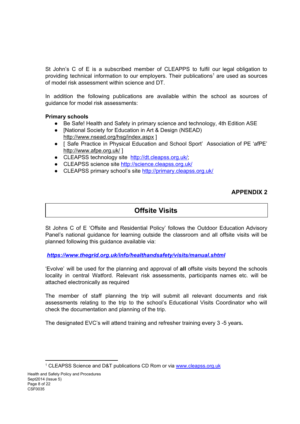St John's C of E is a subscribed member of CLEAPPS to fulfil our legal obligation to providing technical information to our employers. Their publications<sup>1</sup> are used as sources of model risk assessment within science and DT.

In addition the following publications are available within the school as sources of guidance for model risk assessments:

#### **Primary schools**

- Be Safe! Health and Safety in primary science and technology, 4th Edition ASE
- [National Society for Education in Art & Design (NSEAD) <http://www.nsead.org/hsg/index.aspx> ]
- [ Safe Practice in Physical Education and School Sport' Association of PE 'afPE' <http://www.afpe.org.uk/> ]
- CLEAPSS technology site <http://dt.cleapss.org.uk/>;
- CLEAPSS science site <http://science.cleapss.org.uk/>
- CLEAPSS primary school's site <http://primary.cleapss.org.uk/>

## **APPENDIX 2**

## **Offsite Visits**

St Johns C of E 'Offsite and Residential Policy' follows the Outdoor Education Advisory Panel's national guidance for learning outside the classroom and all offsite visits will be planned following this guidance available via:

*<https://www.thegrid.org.uk/info/healthandsafety/visits/manual.shtml>*

'Evolve' will be used for the planning and approval of **all** offsite visits beyond the schools locality in central Watford. Relevant risk assessments, participants names etc. will be attached electronically as required

The member of staff planning the trip will submit all relevant documents and risk assessments relating to the trip to the school's Educational Visits Coordinator who will check the documentation and planning of the trip.

The designated EVC's will attend training and refresher training every 3 -5 years*.*

<sup>&</sup>lt;sup>1</sup> CLEAPSS Science and D&T publications CD Rom or via [www.cleapss.org.uk](http://www.cleapss.org.uk/)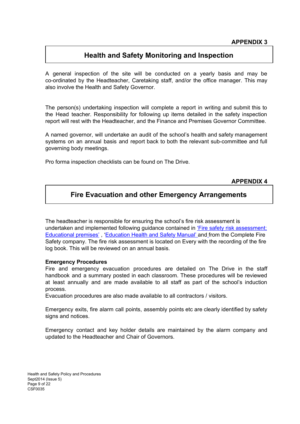# **Health and Safety Monitoring and Inspection**

A general inspection of the site will be conducted on a yearly basis and may be co-ordinated by the Headteacher, Caretaking staff, and/or the office manager. This may also involve the Health and Safety Governor.

The person(s) undertaking inspection will complete a report in writing and submit this to the Head teacher. Responsibility for following up items detailed in the safety inspection report will rest with the Headteacher, and the Finance and Premises Governor Committee.

A named governor, will undertake an audit of the school's health and safety management systems on an annual basis and report back to both the relevant sub-committee and full governing body meetings.

Pro forma inspection checklists can be found on The Drive.

**APPENDIX 4**

# **Fire Evacuation and other Emergency Arrangements**

The headteacher is responsible for ensuring the school's fire risk assessment is undertaken and implemented following guidance contained in 'Fire safety risk [assessment;](https://www.gov.uk/government/publications/fire-safety-risk-assessment-educational-premises) [Educational](https://www.gov.uk/government/publications/fire-safety-risk-assessment-educational-premises) premises' , ['Education](http://www.thegrid.org.uk/info/healthandsafety/fire_safety.shtml) Health and Safety Manual' [and](http://www.thegrid.org.uk/info/healthandsafety/fire_safety.shtml) [f](http://www.thegrid.org.uk/info/healthandsafety/fire_safety.shtml)rom the Complete Fire Safety company. The fire risk assessment is located on Every with the recording of the fire log book. This will be reviewed on an annual basis.

#### **Emergency Procedures**

Fire and emergency evacuation procedures are detailed on The Drive in the staff handbook and a summary posted in each classroom. These procedures will be reviewed at least annually and are made available to all staff as part of the school's induction process.

Evacuation procedures are also made available to all contractors / visitors.

Emergency exits, fire alarm call points, assembly points etc are clearly identified by safety signs and notices.

Emergency contact and key holder details are maintained by the alarm company and updated to the Headteacher and Chair of Governors.

Health and Safety Policy and Procedures Sept2014 (Issue 5) Page 9 of 22 CSF0035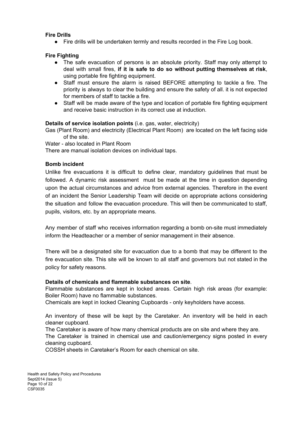#### **Fire Drills**

● Fire drills will be undertaken termly and results recorded in the Fire Log book.

#### **Fire Fighting**

- The safe evacuation of persons is an absolute priority. Staff may only attempt to deal with small fires, **if it is safe to do so without putting themselves at risk**, using portable fire fighting equipment.
- Staff must ensure the alarm is raised BEFORE attempting to tackle a fire. The priority is always to clear the building and ensure the safety of all. it is not expected for members of staff to tackle a fire.
- Staff will be made aware of the type and location of portable fire fighting equipment and receive basic instruction in its correct use at induction.

#### **Details of service isolation points** (i.e. gas, water, electricity)

Gas (Plant Room) and electricity (Electrical Plant Room) are located on the left facing side of the site.

Water - also located in Plant Room

There are manual isolation devices on individual taps.

#### **Bomb incident**

Unlike fire evacuations it is difficult to define clear, mandatory guidelines that must be followed. A dynamic risk assessment must be made at the time in question depending upon the actual circumstances and advice from external agencies. Therefore in the event of an incident the Senior Leadership Team will decide on appropriate actions considering the situation and follow the evacuation procedure. This will then be communicated to staff, pupils, visitors, etc. by an appropriate means.

Any member of staff who receives information regarding a bomb on-site must immediately inform the Headteacher or a member of senior management in their absence.

There will be a designated site for evacuation due to a bomb that may be different to the fire evacuation site. This site will be known to all staff and governors but not stated in the policy for safety reasons.

#### **Details of chemicals and flammable substances on site**.

Flammable substances are kept in locked areas. Certain high risk areas (for example: Boiler Room) have no flammable substances.

Chemicals are kept in locked Cleaning Cupboards - only keyholders have access.

An inventory of these will be kept by the Caretaker. An inventory will be held in each cleaner cupboard.

The Caretaker is aware of how many chemical products are on site and where they are. The Caretaker is trained in chemical use and caution/emergency signs posted in every cleaning cupboard.

COSSH sheets in Caretaker's Room for each chemical on site.

Health and Safety Policy and Procedures Sept2014 (Issue 5) Page 10 of 22 CSF0035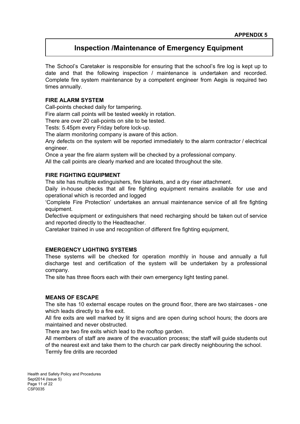# **Inspection /Maintenance of Emergency Equipment**

The School's Caretaker is responsible for ensuring that the school's fire log is kept up to date and that the following inspection / maintenance is undertaken and recorded. Complete fire system maintenance by a competent engineer from Aegis is required two times annually.

#### **FIRE ALARM SYSTEM**

Call-points checked daily for tampering.

Fire alarm call points will be tested weekly in rotation.

There are over 20 call-points on site to be tested.

Tests: 5.45pm every Friday before lock-up.

The alarm monitoring company is aware of this action.

Any defects on the system will be reported immediately to the alarm contractor / electrical engineer.

Once a year the fire alarm system will be checked by a professional company.

All the call points are clearly marked and are located throughout the site.

#### **FIRE FIGHTING EQUIPMENT**

The site has multiple extinguishers, fire blankets, and a dry riser attachment.

Daily in-house checks that all fire fighting equipment remains available for use and operational which is recorded and logged

'Complete Fire Protection' undertakes an annual maintenance service of all fire fighting equipment.

Defective equipment or extinguishers that need recharging should be taken out of service and reported directly to the Headteacher.

Caretaker trained in use and recognition of different fire fighting equipment,

#### **EMERGENCY LIGHTING SYSTEMS**

These systems will be checked for operation monthly in house and annually a full discharge test and certification of the system will be undertaken by a professional company.

The site has three floors each with their own emergency light testing panel.

#### **MEANS OF ESCAPE**

The site has 10 external escape routes on the ground floor, there are two staircases - one which leads directly to a fire exit.

All fire exits are well marked by lit signs and are open during school hours; the doors are maintained and never obstructed.

There are two fire exits which lead to the rooftop garden.

All members of staff are aware of the evacuation process; the staff will guide students out of the nearest exit and take them to the church car park directly neighbouring the school. Termly fire drills are recorded

Health and Safety Policy and Procedures Sept2014 (Issue 5) Page 11 of 22 CSF0035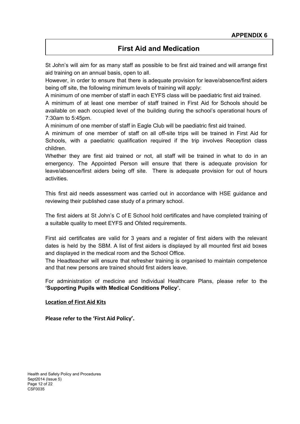# **First Aid and Medication**

St John's will aim for as many staff as possible to be first aid trained and will arrange first aid training on an annual basis, open to all.

However, in order to ensure that there is adequate provision for leave/absence/first aiders being off site, the following minimum levels of training will apply:

A minimum of one member of staff in each EYFS class will be paediatric first aid trained.

A minimum of at least one member of staff trained in First Aid for Schools should be available on each occupied level of the building during the school's operational hours of 7:30am to 5:45pm.

A minimum of one member of staff in Eagle Club will be paediatric first aid trained.

A minimum of one member of staff on all off-site trips will be trained in First Aid for Schools, with a paediatric qualification required if the trip involves Reception class children.

Whether they are first aid trained or not, all staff will be trained in what to do in an emergency. The Appointed Person will ensure that there is adequate provision for leave/absence/first aiders being off site. There is adequate provision for out of hours activities.

This first aid needs assessment was carried out in accordance with HSE guidance and reviewing their published case study of a primary school.

The first aiders at St John's C of E School hold certificates and have completed training of a suitable quality to meet EYFS and Ofsted requirements.

First aid certificates are valid for 3 years and a register of first aiders with the relevant dates is held by the SBM. A list of first aiders is displayed by all mounted first aid boxes and displayed in the medical room and the School Office.

The Headteacher will ensure that refresher training is organised to maintain competence and that new persons are trained should first aiders leave.

For administration of medicine and Individual Healthcare Plans, please refer to the **'Supporting Pupils with Medical Conditions Policy'.**

#### **Location of First Aid Kits**

**Please refer to the 'First Aid Policy'.**

Health and Safety Policy and Procedures Sept2014 (Issue 5) Page 12 of 22 CSF0035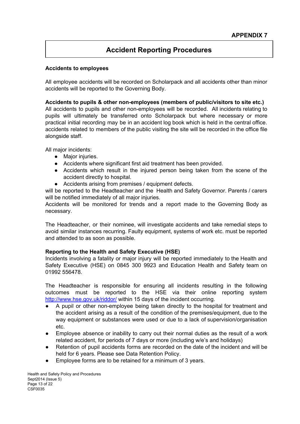# **Accident Reporting Procedures**

#### **Accidents to employees**

All employee accidents will be recorded on Scholarpack and all accidents other than minor accidents will be reported to the Governing Body.

#### **Accidents to pupils & other non-employees (members of public/visitors to site etc.)**

All accidents to pupils and other non-employees will be recorded. All incidents relating to pupils will ultimately be transferred onto Scholarpack but where necessary or more practical initial recording may be in an accident log book which is held in the central office. accidents related to members of the public visiting the site will be recorded in the office file alongside staff.

All major incidents:

- Major injuries.
- Accidents where significant first aid treatment has been provided.
- Accidents which result in the injured person being taken from the scene of the accident directly to hospital.
- Accidents arising from premises / equipment defects.

will be reported to the Headteacher and the Health and Safety Governor. Parents / carers will be notified immediately of all major injuries.

Accidents will be monitored for trends and a report made to the Governing Body as necessary.

The Headteacher, or their nominee, will investigate accidents and take remedial steps to avoid similar instances recurring. Faulty equipment, systems of work etc. must be reported and attended to as soon as possible.

#### **Reporting to the Health and Safety Executive (HSE)**

Incidents involving a fatality or major injury will be reported immediately to the Health and Safety Executive (HSE) on 0845 300 9923 and Education Health and Safety team on 01992 556478.

The Headteacher is responsible for ensuring all incidents resulting in the following outcomes must be reported to the HSE via their online reporting system <http://www.hse.gov.uk/riddor/> within 15 days of the incident occurring.

- A pupil or other non-employee being taken directly to the hospital for treatment and the accident arising as a result of the condition of the premises/equipment, due to the way equipment or substances were used or due to a lack of supervision/organisation etc.
- Employee absence or inability to carry out their normal duties as the result of a work related accident, for periods of 7 days or more (including w/e's and holidays)
- Retention of pupil accidents forms are recorded on the date of the incident and will be held for 6 years. Please see Data Retention Policy.
- Employee forms are to be retained for a minimum of 3 years.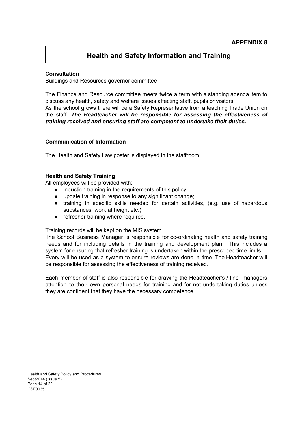# **Health and Safety Information and Training**

#### **Consultation**

Buildings and Resources governor committee

The Finance and Resource committee meets twice a term with a standing agenda item to discuss any health, safety and welfare issues affecting staff, pupils or visitors. As the school grows there will be a Safety Representative from a teaching Trade Union on the staff. *The Headteacher will be responsible for assessing the effectiveness of training received and ensuring staff are competent to undertake their duties.*

#### **Communication of Information**

The Health and Safety Law poster is displayed in the staffroom.

#### **Health and Safety Training**

All employees will be provided with:

- induction training in the requirements of this policy;
- update training in response to any significant change;
- training in specific skills needed for certain activities, (e.g. use of hazardous substances, work at height etc.)
- refresher training where required.

Training records will be kept on the MIS system.

The School Business Manager is responsible for co-ordinating health and safety training needs and for including details in the training and development plan. This includes a system for ensuring that refresher training is undertaken within the prescribed time limits. Every will be used as a system to ensure reviews are done in time. The Headteacher will be responsible for assessing the effectiveness of training received.

Each member of staff is also responsible for drawing the Headteacher's / line managers attention to their own personal needs for training and for not undertaking duties unless they are confident that they have the necessary competence.

Health and Safety Policy and Procedures Sept2014 (Issue 5) Page 14 of 22 CSF0035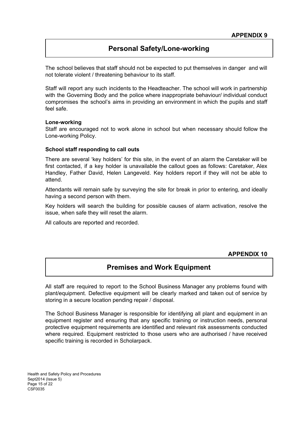# **Personal Safety/Lone-working**

The school believes that staff should not be expected to put themselves in danger and will not tolerate violent / threatening behaviour to its staff.

Staff will report any such incidents to the Headteacher. The school will work in partnership with the Governing Body and the police where inappropriate behaviour/ individual conduct compromises the school's aims in providing an environment in which the pupils and staff feel safe.

#### **Lone-working**

Staff are encouraged not to work alone in school but when necessary should follow the Lone-working Policy.

#### **School staff responding to call outs**

There are several 'key holders' for this site, in the event of an alarm the Caretaker will be first contacted, if a key holder is unavailable the callout goes as follows: Caretaker, Alex Handley, Father David, Helen Langeveld. Key holders report if they will not be able to attend.

Attendants will remain safe by surveying the site for break in prior to entering, and ideally having a second person with them.

Key holders will search the building for possible causes of alarm activation, resolve the issue, when safe they will reset the alarm.

All callouts are reported and recorded.

#### **APPENDIX 10**

# **Premises and Work Equipment**

All staff are required to report to the School Business Manager any problems found with plant/equipment. Defective equipment will be clearly marked and taken out of service by storing in a secure location pending repair / disposal.

The School Business Manager is responsible for identifying all plant and equipment in an equipment register and ensuring that any specific training or instruction needs, personal protective equipment requirements are identified and relevant risk assessments conducted where required. Equipment restricted to those users who are authorised / have received specific training is recorded in Scholarpack.

Health and Safety Policy and Procedures Sept2014 (Issue 5) Page 15 of 22 CSF0035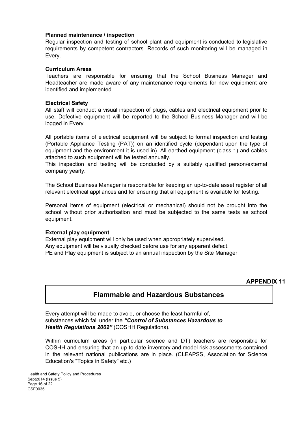#### **Planned maintenance / inspection**

Regular inspection and testing of school plant and equipment is conducted to legislative requirements by competent contractors. Records of such monitoring will be managed in Every.

#### **Curriculum Areas**

Teachers are responsible for ensuring that the School Business Manager and Headteacher are made aware of any maintenance requirements for new equipment are identified and implemented.

#### **Electrical Safety**

All staff will conduct a visual inspection of plugs, cables and electrical equipment prior to use. Defective equipment will be reported to the School Business Manager and will be logged in Every.

All portable items of electrical equipment will be subject to formal inspection and testing (Portable Appliance Testing (PAT)) on an identified cycle (dependant upon the type of equipment and the environment it is used in). All earthed equipment (class 1) and cables attached to such equipment will be tested annually.

This inspection and testing will be conducted by a suitably qualified person/external company yearly.

The School Business Manager is responsible for keeping an up-to-date asset register of all relevant electrical appliances and for ensuring that all equipment is available for testing.

Personal items of equipment (electrical or mechanical) should not be brought into the school without prior authorisation and must be subjected to the same tests as school equipment.

#### **External play equipment**

External play equipment will only be used when appropriately supervised. Any equipment will be visually checked before use for any apparent defect. PE and Play equipment is subject to an annual inspection by the Site Manager.

#### **APPENDIX 11**

# **Flammable and Hazardous Substances**

Every attempt will be made to avoid, or choose the least harmful of, substances which fall under the *"Control of Substances Hazardous to Health Regulations 2002"* (COSHH Regulations).

Within curriculum areas (in particular science and DT) teachers are responsible for COSHH and ensuring that an up to date inventory and model risk assessments contained in the relevant national publications are in place. (CLEAPSS, Association for Science Education's "Topics in Safety" etc.)

Health and Safety Policy and Procedures Sept2014 (Issue 5) Page 16 of 22 CSF0035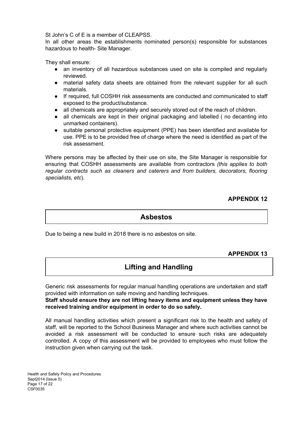St John's C of E is a member of CLEAPSS.

In all other areas the establishments nominated person(s) responsible for substances hazardous to health- Site Manager.

They shall ensure:

- an inventory of all hazardous substances used on site is compiled and regularly reviewed.
- material safety data sheets are obtained from the relevant supplier for all such materials.
- If required, full COSHH risk assessments are conducted and communicated to staff exposed to the product/substance.
- all chemicals are appropriately and securely stored out of the reach of children.
- all chemicals are kept in their original packaging and labelled (no decanting into unmarked containers).
- suitable personal protective equipment (PPE) has been identified and available for use. PPE is to be provided free of charge where the need is identified as part of the risk assessment.

Where persons may be affected by their use on site, the Site Manager is responsible for ensuring that COSHH assessments are available from contractors *(this applies to both regular contracts such as cleaners and caterers and from builders, decorators, flooring specialists, etc*).

## **APPENDIX 12**

## **Asbestos**

Due to being a new build in 2018 there is no asbestos on site.

#### **APPENDIX 13**

# **Lifting and Handling**

Generic risk assessments for regular manual handling operations are undertaken and staff provided with information on safe moving and handling techniques.

#### **Staff should ensure they are not lifting heavy items and equipment unless they have received training and/or equipment in order to do so safely.**

All manual handling activities which present a significant risk to the health and safety of staff, will be reported to the School Business Manager and where such activities cannot be avoided a risk assessment will be conducted to ensure such risks are adequately controlled. A copy of this assessment will be provided to employees who must follow the instruction given when carrying out the task.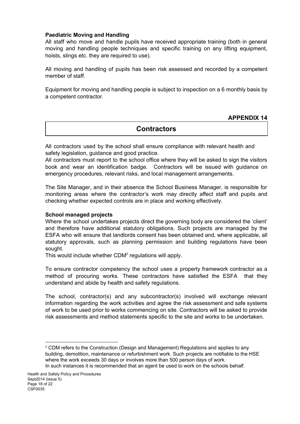#### **Paediatric Moving and Handling**

All staff who move and handle pupils have received appropriate training (both in general moving and handling people techniques and specific training on any lifting equipment, hoists, slings etc. they are required to use).

All moving and handling of pupils has been risk assessed and recorded by a competent member of staff.

Equipment for moving and handling people is subject to inspection on a 6 monthly basis by a competent contractor.

#### **APPENDIX 14**

# **Contractors**

All contractors used by the school shall ensure compliance with relevant health and safety legislation, guidance and good practice.

All contractors must report to the school office where they will be asked to sign the visitors book and wear an identification badge. Contractors will be issued with guidance on emergency procedures, relevant risks, and local management arrangements.

The Site Manager, and in their absence the School Business Manager, is responsible for monitoring areas where the contractor's work may directly affect staff and pupils and checking whether expected controls are in place and working effectively.

#### **School managed projects**

Where the school undertakes projects direct the governing body are considered the 'client' and therefore have additional statutory obligations. Such projects are managed by the ESFA who will ensure that landlords consent has been obtained and, where applicable, all statutory approvals, such as planning permission and building regulations have been sought.

This would include whether  $CDM<sup>2</sup>$  regulations will apply.

To ensure contractor competency the school uses a property framework contractor as a method of procuring works. These contractors have satisfied the ESFA that they understand and abide by health and safety regulations.

The school, contractor(s) and any subcontractor(s) involved will exchange relevant information regarding the work activities and agree the risk assessment and safe systems of work to be used prior to works commencing on site. Contractors will be asked to provide risk assessments and method statements specific to the site and works to be undertaken.

 $2$  CDM refers to the Construction (Design and Management) Regulations and applies to any building, demolition, maintenance or refurbishment work. Such projects are notifiable to the HSE where the work exceeds 30 days or involves more than 500 person days of work. In such instances it is recommended that an agent be used to work on the schools behalf.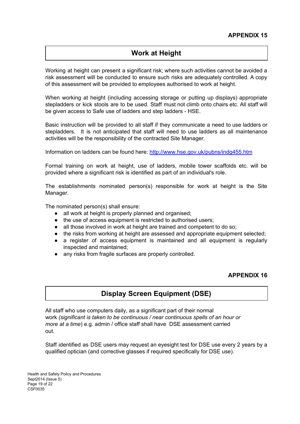# **Work at Height**

Working at height can present a significant risk; where such activities cannot be avoided a risk assessment will be conducted to ensure such risks are adequately controlled. A copy of this assessment will be provided to employees authorised to work at height.

When working at height (including accessing storage or putting up displays) appropriate stepladders or kick stools are to be used. Staff must not climb onto chairs etc. All staff will be given access to Safe use of ladders and step ladders - HSE.

Basic instruction will be provided to all staff if they communicate a need to use ladders or stepladders. It is not anticipated that staff will need to use ladders as all maintenance activities will be the responsibility of the contracted Site Manager.

Information on ladders can be found here: <http://www.hse.gov.uk/pubns/indg455.htm>

Formal training on work at height, use of ladders, mobile tower scaffolds etc. will be provided where a significant risk is identified as part of an individual's role.

The establishments nominated person(s) responsible for work at height is the Site Manager.

The nominated person(s) shall ensure:

- all work at height is properly planned and organised;
- the use of access equipment is restricted to authorised users;
- all those involved in work at height are trained and competent to do so;
- the risks from working at height are assessed and appropriate equipment selected;
- a register of access equipment is maintained and all equipment is regularly inspected and maintained;
- any risks from fragile surfaces are properly controlled.

#### **APPENDIX 16**

# **Display Screen Equipment (DSE)**

All staff who use computers daily, as a significant part of their normal work *(significant is taken to be continuous / near continuous spells of an hour or more at a time*) e.g. admin / office staff shall have DSE assessment carried out.

Staff identified as DSE users may request an eyesight test for DSE use every 2 years by a qualified optician (and corrective glasses if required specifically for DSE use).

Health and Safety Policy and Procedures Sept2014 (Issue 5) Page 19 of 22 CSF0035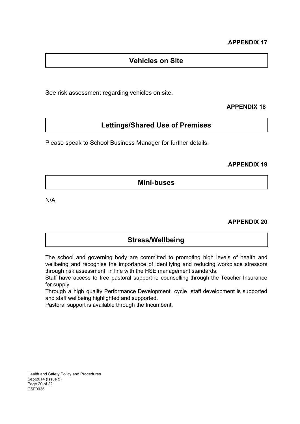# **Vehicles on Site**

See risk assessment regarding vehicles on site.

## **APPENDIX 18**

# **Lettings/Shared Use of Premises**

Please speak to School Business Manager for further details.

#### **APPENDIX 19**

**Mini-buses**

N/A

#### **APPENDIX 20**

# **Stress/Wellbeing**

The school and governing body are committed to promoting high levels of health and wellbeing and recognise the importance of identifying and reducing workplace stressors through risk assessment, in line with the HSE management standards.

Staff have access to free pastoral support ie counselling through the Teacher Insurance for supply.

Through a high quality Performance Development cycle staff development is supported and staff wellbeing highlighted and supported.

Pastoral support is available through the Incumbent.

Health and Safety Policy and Procedures Sept2014 (Issue 5) Page 20 of 22 CSF0035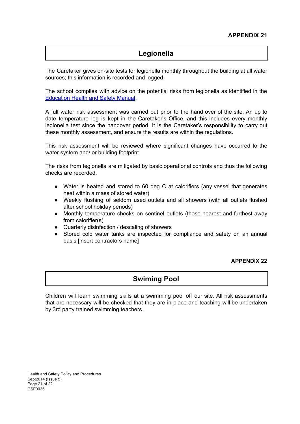# **Legionella**

The Caretaker gives on-site tests for legionella monthly throughout the building at all water sources; this information is recorded and logged.

The school complies with advice on the potential risks from legionella as identified in the [Education](http://www.thegrid.org.uk/info/healthandsafety/manual.shtml#l) Health and Safety Manual.

A full water risk assessment was carried out prior to the hand over of the site. An up to date temperature log is kept in the Caretaker's Office, and this includes every monthly legionella test since the handover period. It is the Caretaker's responsibility to carry out these monthly assessment, and ensure the results are within the regulations.

This risk assessment will be reviewed where significant changes have occurred to the water system and/ or building footprint.

The risks from legionella are mitigated by basic operational controls and thus the following checks are recorded.

- Water is heated and stored to 60 deg C at calorifiers (any vessel that generates heat within a mass of stored water)
- Weekly flushing of seldom used outlets and all showers (with all outlets flushed after school holiday periods)
- Monthly temperature checks on sentinel outlets (those nearest and furthest away from calorifier(s)
- Quarterly disinfection / descaling of showers
- Stored cold water tanks are inspected for compliance and safety on an annual basis [insert contractors name]

#### **APPENDIX 22**

# **Swiming Pool**

Children will learn swimming skills at a swimming pool off our site. All risk assessments that are necessary will be checked that they are in place and teaching will be undertaken by 3rd party trained swimming teachers.

Health and Safety Policy and Procedures Sept2014 (Issue 5) Page 21 of 22 CSF0035